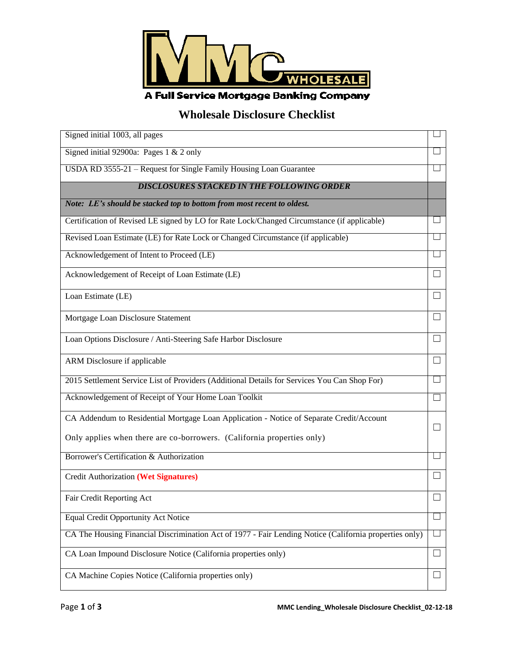

## **Wholesale Disclosure Checklist**

| Signed initial 1003, all pages                                                                         |        |
|--------------------------------------------------------------------------------------------------------|--------|
| Signed initial 92900a: Pages $1 \& 2$ only                                                             |        |
| USDA RD 3555-21 - Request for Single Family Housing Loan Guarantee                                     |        |
| <b>DISCLOSURES STACKED IN THE FOLLOWING ORDER</b>                                                      |        |
| Note: LE's should be stacked top to bottom from most recent to oldest.                                 |        |
| Certification of Revised LE signed by LO for Rate Lock/Changed Circumstance (if applicable)            |        |
| Revised Loan Estimate (LE) for Rate Lock or Changed Circumstance (if applicable)                       |        |
| Acknowledgement of Intent to Proceed (LE)                                                              |        |
| Acknowledgement of Receipt of Loan Estimate (LE)                                                       | $\Box$ |
| Loan Estimate (LE)                                                                                     |        |
| Mortgage Loan Disclosure Statement                                                                     | $\Box$ |
| Loan Options Disclosure / Anti-Steering Safe Harbor Disclosure                                         | $\Box$ |
| ARM Disclosure if applicable                                                                           |        |
| 2015 Settlement Service List of Providers (Additional Details for Services You Can Shop For)           |        |
| Acknowledgement of Receipt of Your Home Loan Toolkit                                                   | ⊔      |
| CA Addendum to Residential Mortgage Loan Application - Notice of Separate Credit/Account               | $\Box$ |
| Only applies when there are co-borrowers. (California properties only)                                 |        |
| Borrower's Certification & Authorization                                                               |        |
| <b>Credit Authorization (Wet Signatures)</b>                                                           |        |
| Fair Credit Reporting Act                                                                              |        |
| <b>Equal Credit Opportunity Act Notice</b>                                                             | ப      |
| CA The Housing Financial Discrimination Act of 1977 - Fair Lending Notice (California properties only) | ⊔      |
| CA Loan Impound Disclosure Notice (California properties only)                                         | $\Box$ |
| CA Machine Copies Notice (California properties only)                                                  | $\Box$ |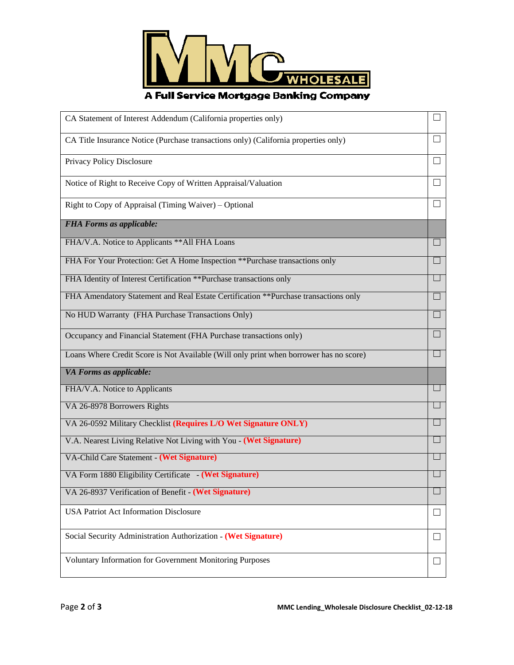

## A Full Service Mortgage Banking Company

| CA Statement of Interest Addendum (California properties only)                         |                   |
|----------------------------------------------------------------------------------------|-------------------|
| CA Title Insurance Notice (Purchase transactions only) (California properties only)    | $\perp$           |
| Privacy Policy Disclosure                                                              |                   |
| Notice of Right to Receive Copy of Written Appraisal/Valuation                         | П                 |
| Right to Copy of Appraisal (Timing Waiver) – Optional                                  | $\Box$            |
| <b>FHA Forms as applicable:</b>                                                        |                   |
| FHA/V.A. Notice to Applicants ** All FHA Loans                                         | ш                 |
| FHA For Your Protection: Get A Home Inspection ** Purchase transactions only           | П                 |
| FHA Identity of Interest Certification ** Purchase transactions only                   |                   |
| FHA Amendatory Statement and Real Estate Certification ** Purchase transactions only   | $\Box$            |
| No HUD Warranty (FHA Purchase Transactions Only)                                       | Ш                 |
| Occupancy and Financial Statement (FHA Purchase transactions only)                     | H                 |
| Loans Where Credit Score is Not Available (Will only print when borrower has no score) |                   |
| VA Forms as applicable:                                                                |                   |
| FHA/V.A. Notice to Applicants                                                          |                   |
| VA 26-8978 Borrowers Rights                                                            |                   |
| VA 26-0592 Military Checklist (Requires L/O Wet Signature ONLY)                        |                   |
| V.A. Nearest Living Relative Not Living with You - (Wet Signature)                     | $\Box$            |
| VA-Child Care Statement - (Wet Signature)                                              |                   |
| VA Form 1880 Eligibility Certificate - (Wet Signature)                                 |                   |
| VA 26-8937 Verification of Benefit - (Wet Signature)                                   |                   |
| <b>USA Patriot Act Information Disclosure</b>                                          | $\vert \ \ \vert$ |
| Social Security Administration Authorization - (Wet Signature)                         | ப                 |
| <b>Voluntary Information for Government Monitoring Purposes</b>                        | $\vert \ \ \vert$ |